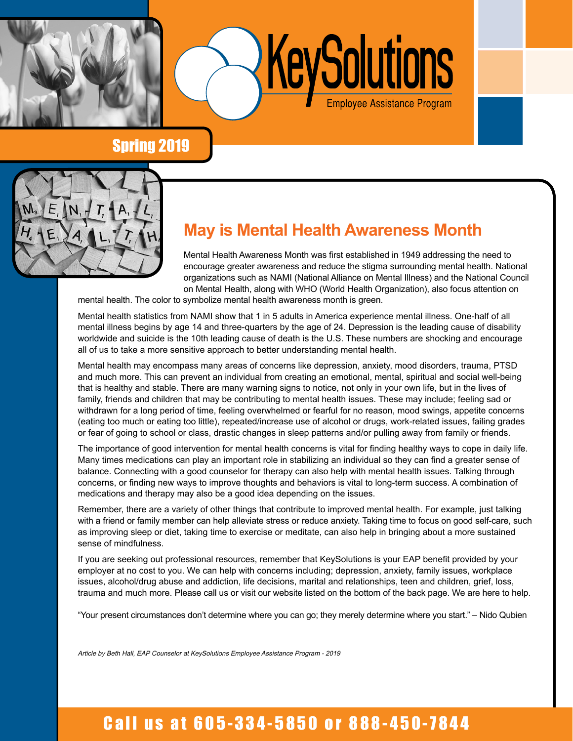

Spring 2019



# **May is Mental Health Awareness Month**

Mental Health Awareness Month was first established in 1949 addressing the need to encourage greater awareness and reduce the stigma surrounding mental health. National organizations such as NAMI (National Alliance on Mental Illness) and the National Council on Mental Health, along with WHO (World Health Organization), also focus attention on

KeySolutions

Employee Assistance Program

mental health. The color to symbolize mental health awareness month is green.

Mental health statistics from NAMI show that 1 in 5 adults in America experience mental illness. One-half of all mental illness begins by age 14 and three-quarters by the age of 24. Depression is the leading cause of disability worldwide and suicide is the 10th leading cause of death is the U.S. These numbers are shocking and encourage all of us to take a more sensitive approach to better understanding mental health.

Mental health may encompass many areas of concerns like depression, anxiety, mood disorders, trauma, PTSD and much more. This can prevent an individual from creating an emotional, mental, spiritual and social well-being that is healthy and stable. There are many warning signs to notice, not only in your own life, but in the lives of family, friends and children that may be contributing to mental health issues. These may include; feeling sad or withdrawn for a long period of time, feeling overwhelmed or fearful for no reason, mood swings, appetite concerns (eating too much or eating too little), repeated/increase use of alcohol or drugs, work-related issues, failing grades or fear of going to school or class, drastic changes in sleep patterns and/or pulling away from family or friends.

The importance of good intervention for mental health concerns is vital for finding healthy ways to cope in daily life. Many times medications can play an important role in stabilizing an individual so they can find a greater sense of balance. Connecting with a good counselor for therapy can also help with mental health issues. Talking through concerns, or finding new ways to improve thoughts and behaviors is vital to long-term success. A combination of medications and therapy may also be a good idea depending on the issues.

Remember, there are a variety of other things that contribute to improved mental health. For example, just talking with a friend or family member can help alleviate stress or reduce anxiety. Taking time to focus on good self-care, such as improving sleep or diet, taking time to exercise or meditate, can also help in bringing about a more sustained sense of mindfulness.

If you are seeking out professional resources, remember that KeySolutions is your EAP benefit provided by your employer at no cost to you. We can help with concerns including; depression, anxiety, family issues, workplace issues, alcohol/drug abuse and addiction, life decisions, marital and relationships, teen and children, grief, loss, trauma and much more. Please call us or visit our website listed on the bottom of the back page. We are here to help.

"Your present circumstances don't determine where you can go; they merely determine where you start." – Nido Qubien

Article by Beth Hall, EAP Counselor at KeySolutions Employee Assistance Program - 2019

# Call us at 605-334-5850 or 888-450-7844